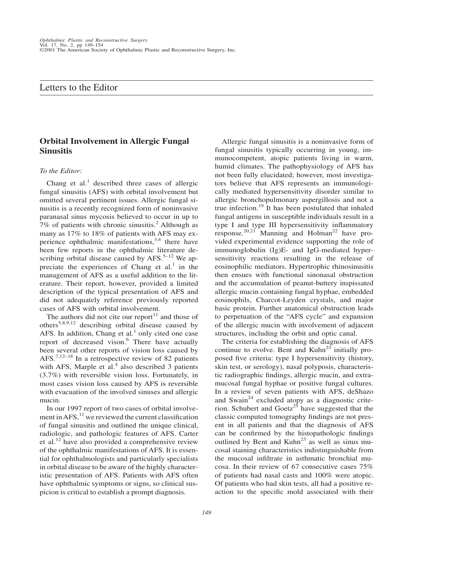## Letters to the Editor

# **Orbital Involvement in Allergic Fungal Sinusitis**

#### *To the Editor:*

Chang et al.<sup>1</sup> described three cases of allergic fungal sinusitis (AFS) with orbital involvement but omitted several pertinent issues. Allergic fungal sinusitis is a recently recognized form of noninvasive paranasal sinus mycosis believed to occur in up to 7% of patients with chronic sinusitis.<sup>2</sup> Although as many as 17% to 18% of patients with AFS may experience ophthalmic manifestations,  $3,4$  there have been few reports in the ophthalmic literature describing orbital disease caused by  $AFS$ <sup>5–12</sup> We appreciate the experiences of Chang et al.<sup>1</sup> in the management of AFS as a useful addition to the literature. Their report, however, provided a limited description of the typical presentation of AFS and did not adequately reference previously reported cases of AFS with orbital involvement.

The authors did not cite our report $11$  and those of others<sup>5,8,9,12</sup> describing orbital disease caused by AFS. In addition, Chang et al. $<sup>1</sup>$  only cited one case</sup> report of decreased vison.<sup>6</sup> There have actually been several other reports of vision loss caused by AFS.<sup>7,12–18</sup> In a retrospective review of 82 patients with AFS, Marple et  $aI<sup>4</sup>$  also described 3 patients (3.7%) with reversible vision loss. Fortunately, in most cases vision loss caused by AFS is reversible with evacuation of the involved sinuses and allergic mucin.

In our 1997 report of two cases of orbital involvement in  $AFS$ ,<sup>11</sup> we reviewed the current classification of fungal sinusitis and outlined the unique clinical, radiologic, and pathologic features of AFS. Carter et al. $^{12}$  have also provided a comprehensive review of the ophthalmic manifestations of AFS. It is essential for ophthalmologists and particularly specialists in orbital disease to be aware of the highly characteristic presentation of AFS. Patients with AFS often have ophthalmic symptoms or signs, so clinical suspicion is critical to establish a prompt diagnosis.

Allergic fungal sinusitis is a noninvasive form of fungal sinusitis typically occurring in young, immunocompetent, atopic patients living in warm, humid climates. The pathophysiology of AFS has not been fully elucidated; however, most investigators believe that AFS represents an immunologically mediated hypersensitivity disorder similar to allergic bronchopulmonary aspergillosis and not a true infection.<sup>19</sup> It has been postulated that inhaled fungal antigens in susceptible individuals result in a type I and type III hypersensitivity inflammatory response.<sup>20,21</sup> Manning and Holman<sup>22</sup> have provided experimental evidence supporting the role of immunoglobulin (Ig)E- and IgG-mediated hypersensitivity reactions resulting in the release of eosinophilic mediators. Hypertrophic rhinosinusitis then ensues with functional sinonasal obstruction and the accumulation of peanut-buttery inspissated allergic mucin containing fungal hyphae, embedded eosinophils, Charcot-Leyden crystals, and major basic protein. Further anatomical obstruction leads to perpetuation of the "AFS cycle" and expansion of the allergic mucin with involvement of adjacent structures, including the orbit and optic canal.

The criteria for establishing the diagnosis of AFS continue to evolve. Bent and  $Kuhn<sup>23</sup>$  initially proposed five criteria: type I hypersensitivity (history, skin test, or serology), nasal polyposis, characteristic radiographic findings, allergic mucin, and extramucosal fungal hyphae or positive fungal cultures. In a review of seven patients with AFS, deShazo and Swain<sup>24</sup> excluded atopy as a diagnostic criterion. Schubert and Goetz<sup>25</sup> have suggested that the classic computed tomography findings are not present in all patients and that the diagnosis of AFS can be confirmed by the histopathologic findings outlined by Bent and  $Kuhn<sup>23</sup>$  as well as sinus mucosal staining characteristics indistinguishable from the mucosal infiltrate in asthmatic bronchial mucosa. In their review of 67 consecutive cases 75% of patients had nasal casts and 100% were atopic. Of patients who had skin tests, all had a positive reaction to the specific mold associated with their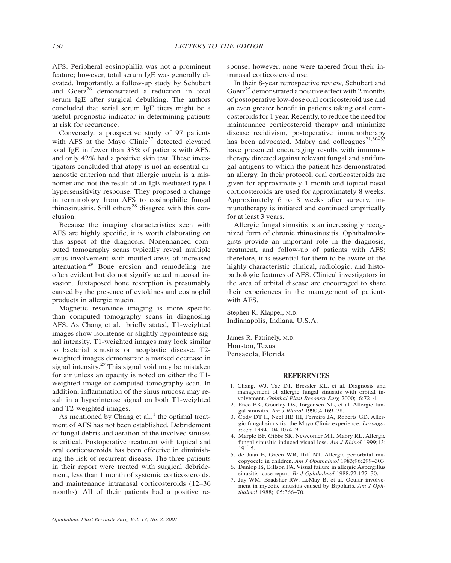AFS. Peripheral eosinophilia was not a prominent feature; however, total serum IgE was generally elevated. Importantly, a follow-up study by Schubert and Goetz<sup>26</sup> demonstrated a reduction in total serum IgE after surgical debulking. The authors concluded that serial serum IgE titers might be a useful prognostic indicator in determining patients at risk for recurrence.

Conversely, a prospective study of 97 patients with AFS at the Mayo Clinic<sup>27</sup> detected elevated total IgE in fewer than 33% of patients with AFS, and only 42% had a positive skin test. These investigators concluded that atopy is not an essential diagnostic criterion and that allergic mucin is a misnomer and not the result of an IgE-mediated type I hypersensitivity response. They proposed a change in terminology from AFS to eosinophilic fungal rhinosinusitis. Still others<sup>28</sup> disagree with this conclusion.

Because the imaging characteristics seen with AFS are highly specific, it is worth elaborating on this aspect of the diagnosis. Nonenhanced computed tomography scans typically reveal multiple sinus involvement with mottled areas of increased attenuation.<sup>29</sup> Bone erosion and remodeling are often evident but do not signify actual mucosal invasion. Juxtaposed bone resorption is presumably caused by the presence of cytokines and eosinophil products in allergic mucin.

Magnetic resonance imaging is more specific than computed tomography scans in diagnosing AFS. As Chang et al.<sup>1</sup> briefly stated, T1-weighted images show isointense or slightly hypointense signal intensity. T1-weighted images may look similar to bacterial sinusitis or neoplastic disease. T2 weighted images demonstrate a marked decrease in signal intensity.<sup>29</sup> This signal void may be mistaken for air unless an opacity is noted on either the T1 weighted image or computed tomography scan. In addition, inflammation of the sinus mucosa may result in a hyperintense signal on both T1-weighted and T2-weighted images.

As mentioned by Chang et al., $<sup>1</sup>$  the optimal treat-</sup> ment of AFS has not been established. Debridement of fungal debris and aeration of the involved sinuses is critical. Postoperative treatment with topical and oral corticosteroids has been effective in diminishing the risk of recurrent disease. The three patients in their report were treated with surgical debridement, less than 1 month of systemic corticosteroids, and maintenance intranasal corticosteroids (12–36 months). All of their patients had a positive response; however, none were tapered from their intranasal corticosteroid use.

In their 8-year retrospective review, Schubert and Goetz<sup>25</sup> demonstrated a positive effect with 2 months of postoperative low-dose oral corticosteroid use and an even greater benefit in patients taking oral corticosteroids for 1 year. Recently, to reduce the need for maintenance corticosteroid therapy and minimize disease recidivism, postoperative immunotherapy has been advocated. Mabry and colleagues<sup>21,30–33</sup> have presented encouraging results with immunotherapy directed against relevant fungal and antifungal antigens to which the patient has demonstrated an allergy. In their protocol, oral corticosteroids are given for approximately 1 month and topical nasal corticosteroids are used for approximately 8 weeks. Approximately 6 to 8 weeks after surgery, immunotherapy is initiated and continued empirically for at least 3 years.

Allergic fungal sinusitis is an increasingly recognized form of chronic rhinosinusitis. Ophthalmologists provide an important role in the diagnosis, treatment, and follow-up of patients with AFS; therefore, it is essential for them to be aware of the highly characteristic clinical, radiologic, and histopathologic features of AFS. Clinical investigators in the area of orbital disease are encouraged to share their experiences in the management of patients with AFS.

Stephen R. Klapper, M.D. Indianapolis, Indiana, U.S.A.

James R. Patrinely, M.D. Houston, Texas Pensacola, Florida

#### **REFERENCES**

- 1. Chang, WJ, Tse DT, Bressler KL, et al. Diagnosis and management of allergic fungal sinusitis with orbital involvement. *Ophthal Plast Reconstr Surg* 2000;16:72–4.
- 2. Ence BK, Gourley DS, Jorgensen NL, et al. Allergic fungal sinusitis. *Am J Rhinol* 1990;4:169–78.
- 3. Cody DT II, Neel HB III, Ferreiro JA, Roberts GD. Allergic fungal sinusitis: the Mayo Clinic experience. *Laryngoscope* 1994;104:1074–9.
- 4. Marple BF, Gibbs SR, Newcomer MT, Mabry RL. Allergic fungal sinusitis-induced visual loss. *Am J Rhinol* 1999;13: 191–5.
- 5. de Juan E, Green WR, Iliff NT. Allergic periorbital mucopyocele in children. *Am J Ophthalmol* 1983;96:299–303.
- 6. Dunlop IS, Billson FA. Visual failure in allergic Aspergillus sinusitis: case report. *Br J Ophthalmol* 1988;72:127–30.
- 7. Jay WM, Bradsher RW, LeMay B, et al. Ocular involvement in mycotic sinusitis caused by Bipolaris, *Am J Ophthalmol* 1988;105:366–70.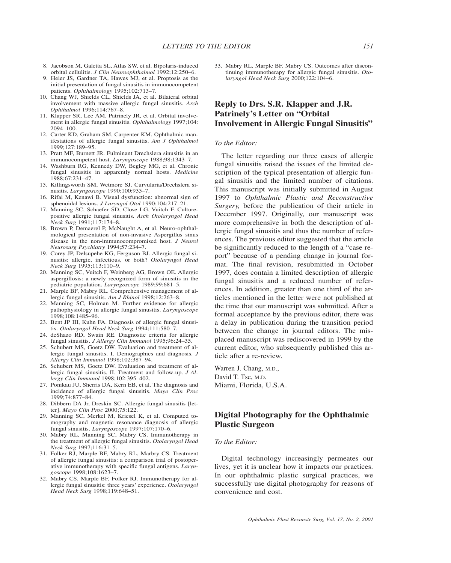- 8. Jacobson M, Galetta SL, Atlas SW, et al. Bipolaris-induced orbital cellulitis. *J Clin Neuroophthalmol* 1992;12:250–6.
- 9. Heier JS, Gardner TA, Hawes MJ, et al. Proptosis as the initial presentation of fungal sinusitis in immunocompetent patients. *Ophthalmology* 1995;102:713–7.
- 10. Chang WJ, Shields CL, Shields JA, et al. Bilateral orbital involvement with massive allergic fungal sinusitis. *Arch Ophthalmol* 1996;114:767–8.
- 11. Klapper SR, Lee AM, Patrinely JR, et al. Orbital involvement in allergic fungal sinusitis. *Ophthalmology* 1997;104: 2094–100.
- 12. Carter KD, Graham SM, Carpenter KM. Ophthalmic manifestations of allergic fungal sinusitis. *Am J Ophthalmol* 1999;127:189–95.
- 13. Pratt MF, Burnett JR. Fulminant Drechslera sinusitis in an immunocompetent host. *Laryngoscope* 1988;98:1343–7.
- 14. Washburn RG, Kennedy DW, Begley MG, et al. Chronic fungal sinusitis in apparently normal hosts. *Medicine* 1988;67:231–47.
- 15. Killingsworth SM, Wetmore SJ. Curvularia/Drechslera sinusitis. *Laryngoscope* 1990;100:935–7.
- 16. Rifai M, Kenawi B. Visual dysfunction: abnormal sign of sphenoidal lesions. *J Laryngol Otol* 1990;104:217–21.
- 17. Manning SC, Schaefer SD, Close LG, Vuitch F. Culturepositive allergic fungal sinusitis. *Arch Otolaryngol Head Neck Surg* 1991;117:174–8.
- 18. Brown P, Demaerel P, McNaught A, et al. Neuro-ophthalmological presentation of non-invasive Aspergillus sinus disease in the non-immunocompromised host. *J Neurol Neurosurg Psychiatry* 1994;57:234–7.
- 19. Corey JP, Delsupehe KG, Ferguson BJ. Allergic fungal sinusitis: allergic, infectious, or both? *Otolaryngol Head Neck Surg* 1995;113:110–9.
- 20. Manning SC, Vuitch F, Weinberg AG, Brown OE. Allergic aspergillosis: a newly recognized form of sinusitis in the pediatric population. *Laryngoscope* 1989;99:681–5.
- 21. Marple BF, Mabry RL. Comprehensive management of allergic fungal sinusitis. *Am J Rhinol* 1998;12:263–8.
- 22. Manning SC, Holman M. Further evidence for allergic pathophysiology in allergic fungal sinusitis. *Laryngoscope* 1998;108:1485–96.
- 23. Bent JP III, Kuhn FA. Diagnosis of allergic fungal sinusitis. *Otolaryngol Head Neck Surg* 1994;111:580–7.
- 24. deShazo RD, Swain RE. Diagnostic criteria for allergic fungal sinusitis. *J Allergy Clin Immunol* 1995;96:24–35.
- 25. Schubert MS, Goetz DW. Evaluation and treatment of allergic fungal sinusitis. I. Demographics and diagnosis. *J Allergy Clin Immunol* 1998;102:387–94.
- 26. Schubert MS, Goetz DW. Evaluation and treatment of allergic fungal sinusitis. II. Treatment and follow-up. *J Allergy Clin Immunol* 1998;102:395–402.
- 27. Ponikau JU, Sherris DA, Kern EB, et al. The diagnosis and incidence of allergic fungal sinusitis. *Mayo Clin Proc* 1999;74:877–84.
- 28. Dibbern DA Jr, Dreskin SC. Allergic fungal sinusitis [letter]. *Mayo Clin Proc* 2000;75:122.
- 29. Manning SC, Merkel M, Kriesel K, et al. Computed tomography and magnetic resonance diagnosis of allergic fungal sinusitis. *Laryngoscope* 1997;107:170–6.
- 30. Mabry RL, Manning SC, Mabry CS. Immunotherapy in the treatment of allergic fungal sinusitis. *Otolaryngol Head Neck Surg* 1997;116:31–5.
- 31. Folker RJ, Marple BF, Mabry RL, Marbry CS. Treatment of allergic fungal sinusitis: a comparison trial of postoperative immunotherapy with specific fungal antigens. *Laryngoscope* 1998;108:1623–7.
- 32. Mabry CS, Marple BF, Folker RJ. Immunotherapy for allergic fungal sinusitis: three years' experience. *Otolaryngol Head Neck Surg* 1998;119:648–51.

33. Mabry RL, Marple BF, Mabry CS. Outcomes after discontinuing immunotherapy for allergic fungal sinusitis. *Otolaryngol Head Neck Surg* 2000;122:104–6.

## **Reply to Drs. S.R. Klapper and J.R. Patrinely's Letter on "Orbital Involvement in Allergic Fungal Sinusitis"**

#### *To the Editor:*

The letter regarding our three cases of allergic fungal sinusitis raised the issues of the limited description of the typical presentation of allergic fungal sinusitis and the limited number of citations. This manuscript was initially submitted in August 1997 to *Ophthalmic Plastic and Reconstructive Surgery,* before the publication of their article in December 1997. Originally, our manuscript was more comprehensive in both the description of allergic fungal sinusitis and thus the number of references. The previous editor suggested that the article be significantly reduced to the length of a "case report" because of a pending change in journal format. The final revision, resubmitted in October 1997, does contain a limited description of allergic fungal sinusitis and a reduced number of references. In addition, greater than one third of the articles mentioned in the letter were not published at the time that our manuscript was submitted. After a formal acceptance by the previous editor, there was a delay in publication during the transition period between the change in journal editors. The misplaced manuscript was rediscovered in 1999 by the current editor, who subsequently published this article after a re-review.

Warren J. Chang, M.D., David T. Tse, M.D. Miami, Florida, U.S.A.

## **Digital Photography for the Ophthalmic Plastic Surgeon**

### *To the Editor:*

Digital technology increasingly permeates our lives, yet it is unclear how it impacts our practices. In our ophthalmic plastic surgical practices, we successfully use digital photography for reasons of convenience and cost.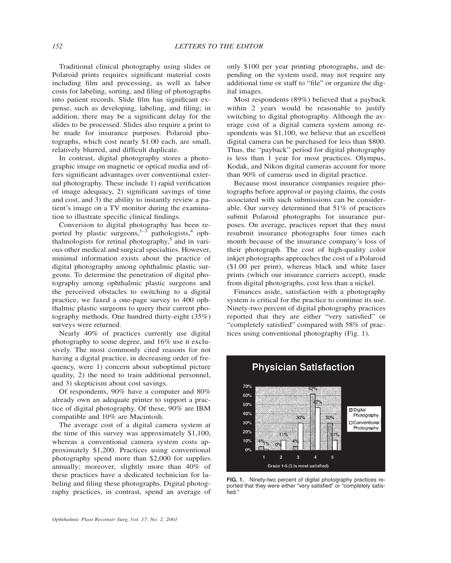Traditional clinical photography using slides or Polaroid prints requires significant material costs including film and processing, as well as labor costs for labeling, sorting, and filing of photographs into patient records. Slide film has significant expense, such as developing, labeling, and filing; in addition, there may be a significant delay for the slides to be processed. Slides also require a print to be made for insurance purposes. Polaroid photographs, which cost nearly \$1.00 each, are small, relatively blurred, and difficult duplicate.

In contrast, digital photography stores a photographic image on magnetic or optical media and offers significant advantages over conventional external photography. These include 1) rapid verification of image adequacy, 2) significant savings of time and cost, and 3) the ability to instantly review a patient's image on a TV monitor during the examination to illustrate specific clinical findings.

Conversion to digital photography has been reported by plastic surgeons, $1-3$  pathologists, $4$  ophthalmologists for retinal photography, $5$  and in various other medical and surgical specialties. However, minimal information exists about the practice of digital photography among ophthalmic plastic surgeons. To determine the penetration of digital photography among ophthalmic plastic surgeons and the perceived obstacles to switching to a digital practice, we faxed a one-page survey to 400 ophthalmic plastic surgeons to query their current photography methods. One hundred thirty-eight (35%) surveys were returned.

Nearly 40% of practices currently use digital photography to some degree, and 16% use it exclusively. The most commonly cited reasons for not having a digital practice, in decreasing order of frequency, were 1) concern about suboptimal picture quality, 2) the need to train additional personnel, and 3) skepticism about cost savings.

Of respondents, 90% have a computer and 80% already own an adequate printer to support a practice of digital photography. Of these, 90% are IBM compatible and 10% are Macintosh.

The average cost of a digital camera system at the time of this survey was approximately \$1,100, whereas a conventional camera system costs approximately \$1,200. Practices using conventional photography spend more than \$2,000 for supplies annually; moreover, slightly more than 40% of these practices have a dedicated technician for labeling and filing these photographs. Digital photography practices, in contrast, spend an average of only \$100 per year printing photographs, and depending on the system used, may not require any additional time or staff to "file" or organize the digital images.

Most respondents (89%) believed that a payback within 2 years would be reasonable to justify switching to digital photography. Although the average cost of a digital camera system among respondents was \$1,100, we believe that an excellent digital camera can be purchased for less than \$800. Thus, the "payback" period for digital photography is less than 1 year for most practices. Olympus, Kodak, and Nikon digital cameras account for more than 90% of cameras used in digital practice.

Because most insurance companies require photographs before approval or paying claims, the costs associated with such submissions can be considerable. Our survey determined that 51% of practices submit Polaroid photographs for insurance purposes. On average, practices report that they must resubmit insurance photographs four times each month because of the insurance company's loss of their photograph. The cost of high-quality color inkjet photographs approaches the cost of a Polaroid (\$1.00 per print), whereas black and white laser prints (which our insurance carriers accept), made from digital photographs, cost less than a nickel.

Finances aside, satisfaction with a photography system is critical for the practice to continue its use. Ninety-two percent of digital photography practices reported that they are either "very satisfied" or "completely satisfied" compared with 58% of practices using conventional photography (Fig. 1).



**FIG. 1.** Ninety-two percent of digital photography practices reported that they were either "very satisfied" or "completely satisfied."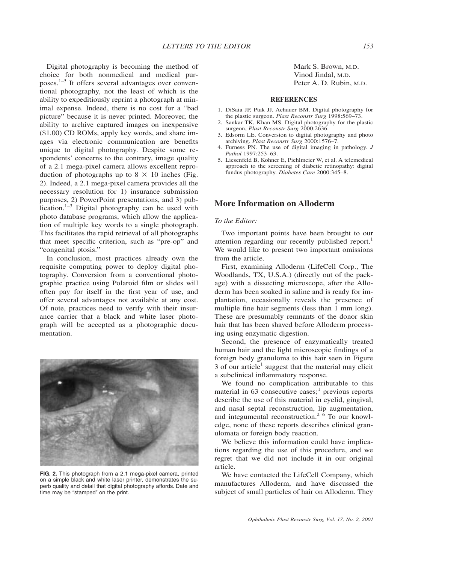Digital photography is becoming the method of choice for both nonmedical and medical purposes.1–5 It offers several advantages over conventional photography, not the least of which is the ability to expeditiously reprint a photograph at minimal expense. Indeed, there is no cost for a "bad picture" because it is never printed. Moreover, the ability to archive captured images on inexpensive (\$1.00) CD ROMs, apply key words, and share images via electronic communication are benefits unique to digital photography. Despite some respondents' concerns to the contrary, image quality of a 2.1 mega-pixel camera allows excellent reproduction of photographs up to  $8 \times 10$  inches (Fig. 2). Indeed, a 2.1 mega-pixel camera provides all the necessary resolution for 1) insurance submission purposes, 2) PowerPoint presentations, and 3) publication.<sup>1–3</sup> Digital photography can be used with photo database programs, which allow the application of multiple key words to a single photograph. This facilitates the rapid retrieval of all photographs that meet specific criterion, such as "pre-op" and "congenital ptosis."

In conclusion, most practices already own the requisite computing power to deploy digital photography. Conversion from a conventional photographic practice using Polaroid film or slides will often pay for itself in the first year of use, and offer several advantages not available at any cost. Of note, practices need to verify with their insurance carrier that a black and white laser photograph will be accepted as a photographic documentation.



**FIG. 2.** This photograph from a 2.1 mega-pixel camera, printed on a simple black and white laser printer, demonstrates the superb quality and detail that digital photography affords. Date and time may be "stamped" on the print.

Mark S. Brown, M.D. Vinod Jindal, M.D. Peter A. D. Rubin, M.D.

#### **REFERENCES**

- 1. DiSaia JP, Ptak JJ, Achauer BM. Digital photography for the plastic surgeon. *Plast Reconstr Surg* 1998:569–73.
- 2. Sankar TK, Khan MS. Digital photography for the plastic surgeon, *Plast Reconstr Surg* 2000:2636.
- 3. Edsorm LE. Conversion to digital photography and photo archiving. *Plast Reconstr Surg* 2000:1576–7.
- 4. Furness PN. The use of digital imaging in pathology. *J Pathol* 1997:253–63.
- 5. Liesenfeld B, Kohner E, Piehlmeier W, et al. A telemedical approach to the screening of diabetic retinopathy: digital fundus photography. *Diabetes Care* 2000:345–8.

## **More Information on Alloderm**

### *To the Editor:*

Two important points have been brought to our attention regarding our recently published report.<sup>1</sup> We would like to present two important omissions from the article.

First, examining Alloderm (LifeCell Corp., The Woodlands, TX, U.S.A.) (directly out of the package) with a dissecting microscope, after the Alloderm has been soaked in saline and is ready for implantation, occasionally reveals the presence of multiple fine hair segments (less than 1 mm long). These are presumably remnants of the donor skin hair that has been shaved before Alloderm processing using enzymatic digestion.

Second, the presence of enzymatically treated human hair and the light microscopic findings of a foreign body granuloma to this hair seen in Figure 3 of our article<sup>1</sup> suggest that the material may elicit a subclinical inflammatory response.

We found no complication attributable to this material in  $63$  consecutive cases;<sup>1</sup> previous reports describe the use of this material in eyelid, gingival, and nasal septal reconstruction, lip augmentation, and integumental reconstruction.<sup>2–6</sup> To our knowledge, none of these reports describes clinical granulomata or foreign body reaction.

We believe this information could have implications regarding the use of this procedure, and we regret that we did not include it in our original article.

We have contacted the LifeCell Company, which manufactures Alloderm, and have discussed the subject of small particles of hair on Alloderm. They